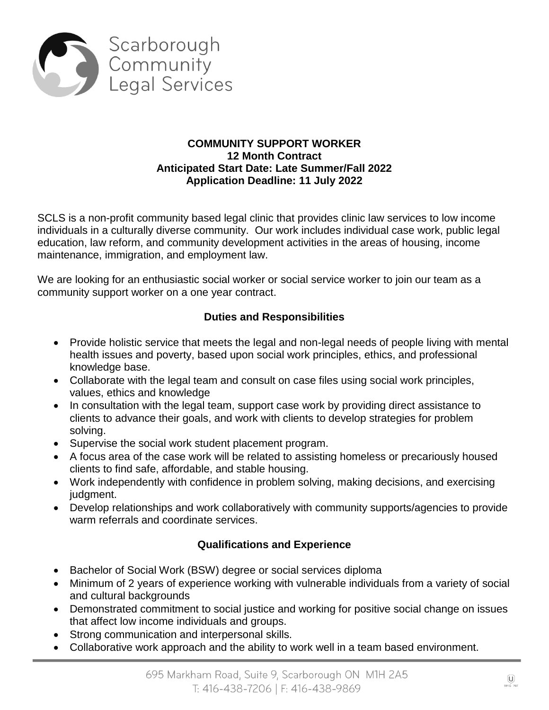

### **COMMUNITY SUPPORT WORKER 12 Month Contract Anticipated Start Date: Late Summer/Fall 2022 Application Deadline: 11 July 2022**

SCLS is a non-profit community based legal clinic that provides clinic law services to low income individuals in a culturally diverse community. Our work includes individual case work, public legal education, law reform, and community development activities in the areas of housing, income maintenance, immigration, and employment law.

We are looking for an enthusiastic social worker or social service worker to join our team as a community support worker on a one year contract.

# **Duties and Responsibilities**

- Provide holistic service that meets the legal and non-legal needs of people living with mental health issues and poverty, based upon social work principles, ethics, and professional knowledge base.
- Collaborate with the legal team and consult on case files using social work principles, values, ethics and knowledge
- In consultation with the legal team, support case work by providing direct assistance to clients to advance their goals, and work with clients to develop strategies for problem solving.
- Supervise the social work student placement program.
- A focus area of the case work will be related to assisting homeless or precariously housed clients to find safe, affordable, and stable housing.
- Work independently with confidence in problem solving, making decisions, and exercising judgment.
- Develop relationships and work collaboratively with community supports/agencies to provide warm referrals and coordinate services.

# **Qualifications and Experience**

- Bachelor of Social Work (BSW) degree or social services diploma
- Minimum of 2 years of experience working with vulnerable individuals from a variety of social and cultural backgrounds
- Demonstrated commitment to social justice and working for positive social change on issues that affect low income individuals and groups.
- Strong communication and interpersonal skills.
- Collaborative work approach and the ability to work well in a team based environment.